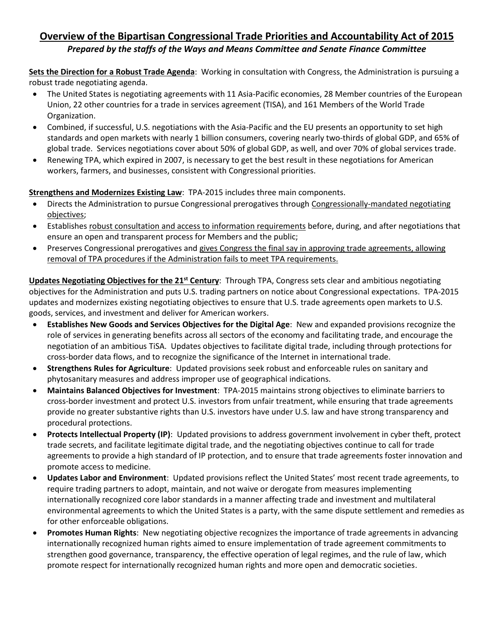## **Overview of the Bipartisan Congressional Trade Priorities and Accountability Act of 2015** *Prepared by the staffs of the Ways and Means Committee and Senate Finance Committee*

**Sets the Direction for a Robust Trade Agenda**: Working in consultation with Congress, the Administration is pursuing a robust trade negotiating agenda.

- The United States is negotiating agreements with 11 Asia-Pacific economies, 28 Member countries of the European Union, 22 other countries for a trade in services agreement (TISA), and 161 Members of the World Trade Organization.
- Combined, if successful, U.S. negotiations with the Asia-Pacific and the EU presents an opportunity to set high standards and open markets with nearly 1 billion consumers, covering nearly two-thirds of global GDP, and 65% of global trade. Services negotiations cover about 50% of global GDP, as well, and over 70% of global services trade.
- x Renewing TPA, which expired in 2007, is necessary to get the best result in these negotiations for American workers, farmers, and businesses, consistent with Congressional priorities.

## **Strengthens and Modernizes Existing Law**: TPA-2015 includes three main components.

- Directs the Administration to pursue Congressional prerogatives through Congressionally-mandated negotiating objectives;
- Establishes robust consultation and access to information requirements before, during, and after negotiations that ensure an open and transparent process for Members and the public;
- Preserves Congressional prerogatives and gives Congress the final say in approving trade agreements, allowing removal of TPA procedures if the Administration fails to meet TPA requirements.

**Updates Negotiating Objectives for the 21st Century**: Through TPA, Congress sets clear and ambitious negotiating objectives for the Administration and puts U.S. trading partners on notice about Congressional expectations. TPA-2015 updates and modernizes existing negotiating objectives to ensure that U.S. trade agreements open markets to U.S. goods, services, and investment and deliver for American workers.

- x **Establishes New Goods and Services Objectives for the Digital Age**: New and expanded provisions recognize the role of services in generating benefits across all sectors of the economy and facilitating trade, and encourage the negotiation of an ambitious TiSA. Updates objectives to facilitate digital trade, including through protections for cross-border data flows, and to recognize the significance of the Internet in international trade.
- x **Strengthens Rules for Agriculture**: Updated provisions seek robust and enforceable rules on sanitary and phytosanitary measures and address improper use of geographical indications.
- x **Maintains Balanced Objectives for Investment**: TPA-2015 maintains strong objectives to eliminate barriers to cross-border investment and protect U.S. investors from unfair treatment, while ensuring that trade agreements provide no greater substantive rights than U.S. investors have under U.S. law and have strong transparency and procedural protections.
- x **Protects Intellectual Property (IP)**: Updated provisions to address government involvement in cyber theft, protect trade secrets, and facilitate legitimate digital trade, and the negotiating objectives continue to call for trade agreements to provide a high standard of IP protection, and to ensure that trade agreements foster innovation and promote access to medicine.
- **Updates Labor and Environment**: Updated provisions reflect the United States' most recent trade agreements, to require trading partners to adopt, maintain, and not waive or derogate from measures implementing internationally recognized core labor standards in a manner affecting trade and investment and multilateral environmental agreements to which the United States is a party, with the same dispute settlement and remedies as for other enforceable obligations.
- **Promotes Human Rights**: New negotiating objective recognizes the importance of trade agreements in advancing internationally recognized human rights aimed to ensure implementation of trade agreement commitments to strengthen good governance, transparency, the effective operation of legal regimes, and the rule of law, which promote respect for internationally recognized human rights and more open and democratic societies.